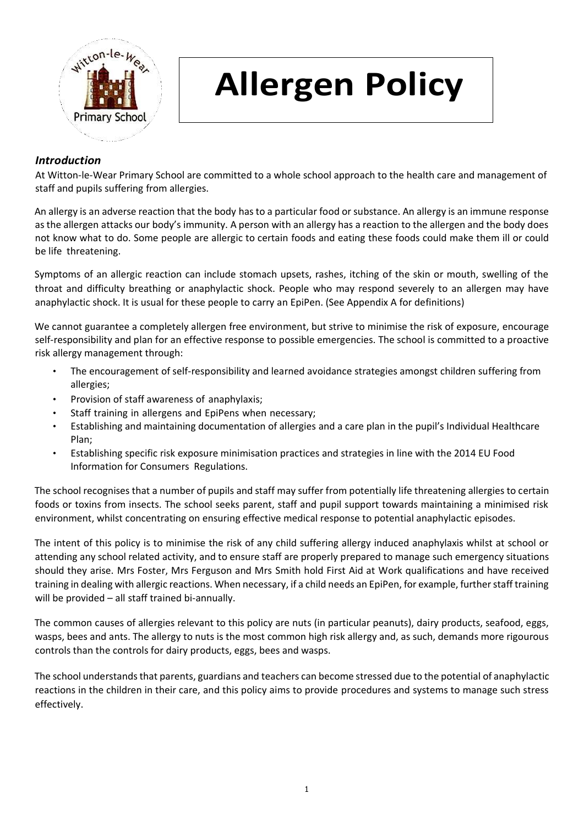

## **Allergen Policy**

## *Introduction*

At Witton-le-Wear Primary School are committed to a whole school approach to the health care and management of staff and pupils suffering from allergies.

An allergy is an adverse reaction that the body has to a particular food or substance. An allergy is an immune response as the allergen attacks our body's immunity. A person with an allergy has a reaction to the allergen and the body does not know what to do. Some people are allergic to certain foods and eating these foods could make them ill or could be life threatening.

Symptoms of an allergic reaction can include stomach upsets, rashes, itching of the skin or mouth, swelling of the throat and difficulty breathing or anaphylactic shock. People who may respond severely to an allergen may have anaphylactic shock. It is usual for these people to carry an EpiPen. (See Appendix A for definitions)

We cannot guarantee a completely allergen free environment, but strive to minimise the risk of exposure, encourage self-responsibility and plan for an effective response to possible emergencies. The school is committed to a proactive risk allergy management through:

- The encouragement of self-responsibility and learned avoidance strategies amongst children suffering from allergies;
- Provision of staff awareness of anaphylaxis;
- Staff training in allergens and EpiPens when necessary;
- Establishing and maintaining documentation of allergies and a care plan in the pupil's Individual Healthcare Plan;
- Establishing specific risk exposure minimisation practices and strategies in line with the 2014 EU Food Information for Consumers Regulations.

The school recognises that a number of pupils and staff may suffer from potentially life threatening allergies to certain foods or toxins from insects. The school seeks parent, staff and pupil support towards maintaining a minimised risk environment, whilst concentrating on ensuring effective medical response to potential anaphylactic episodes.

The intent of this policy is to minimise the risk of any child suffering allergy induced anaphylaxis whilst at school or attending any school related activity, and to ensure staff are properly prepared to manage such emergency situations should they arise. Mrs Foster, Mrs Ferguson and Mrs Smith hold First Aid at Work qualifications and have received training in dealing with allergic reactions. When necessary, if a child needs an EpiPen, for example, further staff training will be provided – all staff trained bi-annually.

The common causes of allergies relevant to this policy are nuts (in particular peanuts), dairy products, seafood, eggs, wasps, bees and ants. The allergy to nuts is the most common high risk allergy and, as such, demands more rigourous controls than the controls for dairy products, eggs, bees and wasps.

The school understandsthat parents, guardians and teachers can become stressed due to the potential of anaphylactic reactions in the children in their care, and this policy aims to provide procedures and systems to manage such stress effectively.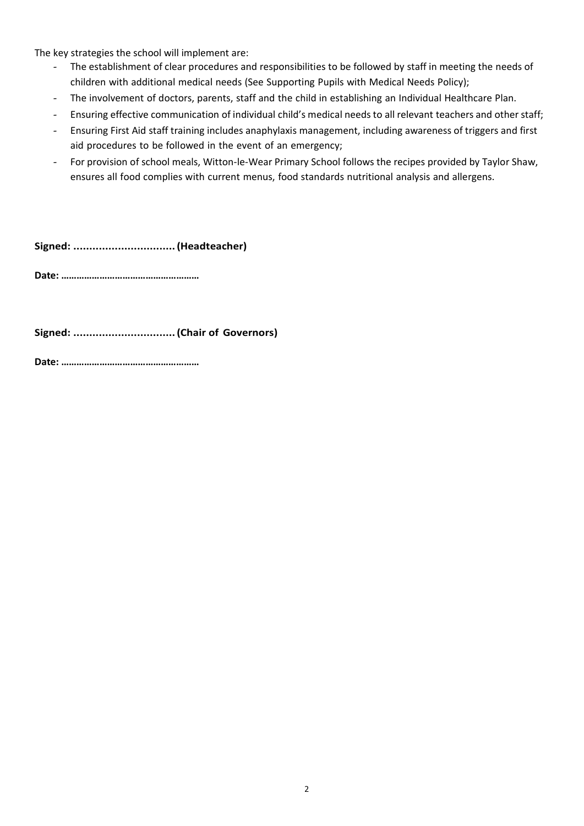The key strategies the school will implement are:

- *-* The establishment of clear procedures and responsibilities to be followed by staff in meeting the needs of children with additional medical needs (See Supporting Pupils with Medical Needs Policy);
- *-* The involvement of doctors, parents, staff and the child in establishing an Individual Healthcare Plan.
- *-* Ensuring effective communication of individual child's medical needs to all relevant teachers and other staff;
- *-* Ensuring First Aid staff training includes anaphylaxis management, including awareness of triggers and first aid procedures to be followed in the event of an emergency;
- *-* For provision of school meals, Witton-le-Wear Primary School follows the recipes provided by Taylor Shaw, ensures all food complies with current menus, food standards nutritional analysis and allergens.

**Signed: ................................(Headteacher)**

**Date: ………………………………………………**

**Signed: ................................(Chair of Governors)**

**Date: ………………………………………………**